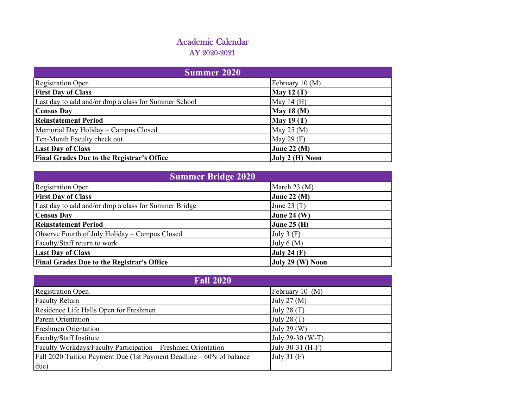| <b>Summer 2020</b>                                    |                    |
|-------------------------------------------------------|--------------------|
| <b>Registration Open</b>                              | February 10 (M)    |
| <b>First Day of Class</b>                             | <b>May 12 (T)</b>  |
| Last day to add and/or drop a class for Summer School | May 14 $(H)$       |
| <b>Census Day</b>                                     | <b>May 18 (M)</b>  |
| <b>Reinstatement Period</b>                           | <b>May 19 (T)</b>  |
| Memorial Day Holiday - Campus Closed                  | May 25 $(M)$       |
| Ten-Month Faculty check out                           | May 29 $(F)$       |
| <b>Last Day of Class</b>                              | <b>June 22 (M)</b> |
| <b>Final Grades Due to the Registrar's Office</b>     | July 2 (H) Noon    |

| <b>Summer Bridge 2020</b>                             |                    |
|-------------------------------------------------------|--------------------|
| <b>Registration Open</b>                              | March $23 \, (M)$  |
| <b>First Day of Class</b>                             | June 22 $(M)$      |
| Last day to add and/or drop a class for Summer Bridge | June 23 $(T)$      |
| <b>Census Day</b>                                     | <b>June 24 (W)</b> |
| <b>Reinstatement Period</b>                           | June $25(H)$       |
| Observe Fourth of July Holiday - Campus Closed        | July $3(F)$        |
| Faculty/Staff return to work                          | July $6(M)$        |
| <b>Last Day of Class</b>                              | July 24 $(F)$      |
| <b>Final Grades Due to the Registrar's Office</b>     | July 29 (W) Noon   |

| <b>Fall 2020</b>                                                     |                  |
|----------------------------------------------------------------------|------------------|
| <b>Registration Open</b>                                             | February 10 (M)  |
| <b>Faculty Return</b>                                                | July 27 (M)      |
| Residence Life Halls Open for Freshmen                               | July 28 $(T)$    |
| <b>Parent Orientation</b>                                            | July 28 $(T)$    |
| <b>Freshmen Orientation</b>                                          | July 29 (W)      |
| Faculty/Staff Institute                                              | July 29-30 (W-T) |
| Faculty Workdays/Faculty Participation - Freshmen Orientation        | July 30-31 (H-F) |
| Fall 2020 Tuition Payment Due (1st Payment Deadline – 60% of balance | July 31 $(F)$    |
| due)                                                                 |                  |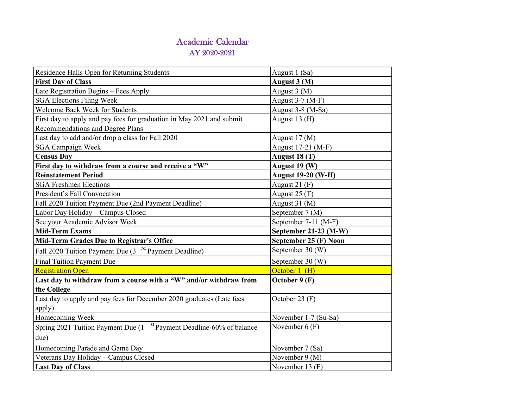| Residence Halls Open for Returning Students                                      | August 1 (Sa)             |
|----------------------------------------------------------------------------------|---------------------------|
| <b>First Day of Class</b>                                                        | August 3 (M)              |
| Late Registration Begins - Fees Apply                                            | August 3 (M)              |
| <b>SGA Elections Filing Week</b>                                                 | August 3-7 (M-F)          |
| Welcome Back Week for Students                                                   | August 3-8 (M-Sa)         |
| First day to apply and pay fees for graduation in May 2021 and submit            | August $13(H)$            |
| Recommendations and Degree Plans                                                 |                           |
| Last day to add and/or drop a class for Fall 2020                                | August 17 (M)             |
| <b>SGA Campaign Week</b>                                                         | August 17-21 (M-F)        |
| <b>Census Day</b>                                                                | August 18 (T)             |
| First day to withdraw from a course and receive a "W"                            | August 19 (W)             |
| <b>Reinstatement Period</b>                                                      | <b>August 19-20 (W-H)</b> |
| <b>SGA Freshmen Elections</b>                                                    | August 21 $(F)$           |
| President's Fall Convocation                                                     | August $25(T)$            |
| Fall 2020 Tuition Payment Due (2nd Payment Deadline)                             | August 31 (M)             |
| Labor Day Holiday - Campus Closed                                                | September 7 (M)           |
| See your Academic Advisor Week                                                   | September 7-11 (M-F)      |
| <b>Mid-Term Exams</b>                                                            | September 21-23 (M-W)     |
| Mid-Term Grades Due to Registrar's Office                                        | September 25 (F) Noon     |
| Fall 2020 Tuition Payment Due (3 <sup>rd</sup> Payment Deadline)                 | September 30 (W)          |
| <b>Final Tuition Payment Due</b>                                                 | September 30 (W)          |
| <b>Registration Open</b>                                                         | October 1 (H)             |
| Last day to withdraw from a course with a "W" and/or withdraw from               | October 9 (F)             |
| the College                                                                      |                           |
| Last day to apply and pay fees for December 2020 graduates (Late fees            | October 23 (F)            |
| apply)                                                                           |                           |
| Homecoming Week                                                                  | November 1-7 (Su-Sa)      |
| Spring 2021 Tuition Payment Due (1 <sup>st</sup> Payment Deadline-60% of balance | November $6(F)$           |
| due)                                                                             |                           |
| Homecoming Parade and Game Day                                                   | November 7 (Sa)           |
| Veterans Day Holiday - Campus Closed                                             | November 9 (M)            |
| <b>Last Day of Class</b>                                                         | November 13 (F)           |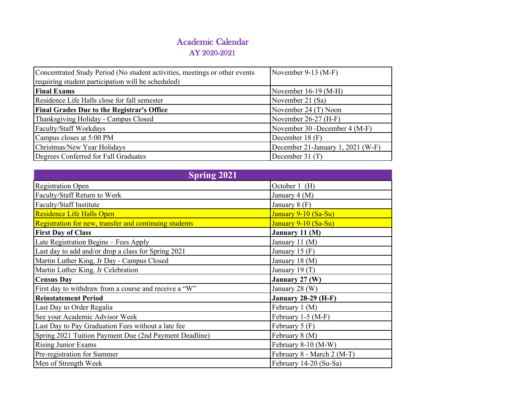| Concentrated Study Period (No student activities, meetings or other events | November 9-13 $(M-F)$             |
|----------------------------------------------------------------------------|-----------------------------------|
| requiring student participation will be scheduled)                         |                                   |
| <b>Final Exams</b>                                                         | November $16-19$ (M-H)            |
| Residence Life Halls close for fall semester                               | November 21 (Sa)                  |
| <b>Final Grades Due to the Registrar's Office</b>                          | November 24 (T) Noon              |
| Thanksgiving Holiday - Campus Closed                                       | November $26-27$ (H-F)            |
| Faculty/Staff Workdays                                                     | November 30 -December 4 (M-F)     |
| Campus closes at 5:00 PM                                                   | December 18 (F)                   |
| Christmas/New Year Holidays                                                | December 21-January 1, 2021 (W-F) |
| Degrees Conferred for Fall Graduates                                       | December $31(T)$                  |

| <b>Spring 2021</b>                                     |                            |
|--------------------------------------------------------|----------------------------|
| <b>Registration Open</b>                               | October 1 (H)              |
| Faculty/Staff Return to Work                           | January 4 (M)              |
| Faculty/Staff Institute                                | January 8 (F)              |
| Residence Life Halls Open                              | January 9-10 (Sa-Su)       |
| Registration for new, transfer and continuing students | January 9-10 (Sa-Su)       |
| <b>First Day of Class</b>                              | January 11 (M)             |
| Late Registration Begins - Fees Apply                  | January 11 (M)             |
| Last day to add and/or drop a class for Spring 2021    | January 15 $(F)$           |
| Martin Luther King, Jr Day - Campus Closed             | January 18 (M)             |
| Martin Luther King, Jr Celebration                     | January 19 $(T)$           |
| <b>Census Day</b>                                      | January 27 (W)             |
| First day to withdraw from a course and receive a "W"  | January 28 (W)             |
| <b>Reinstatement Period</b>                            | <b>January 28-29 (H-F)</b> |
| Last Day to Order Regalia                              | February 1 (M)             |
| See your Academic Advisor Week                         | February 1-5 (M-F)         |
| Last Day to Pay Graduation Fees without a late fee     | February $5(F)$            |
| Spring 2021 Tuition Payment Due (2nd Payment Deadline) | February 8 (M)             |
| Rising Junior Exams                                    | February 8-10 (M-W)        |
| Pre-registration for Summer                            | February 8 - March 2 (M-T) |
| Men of Strength Week                                   | February 14-20 (Su-Sa)     |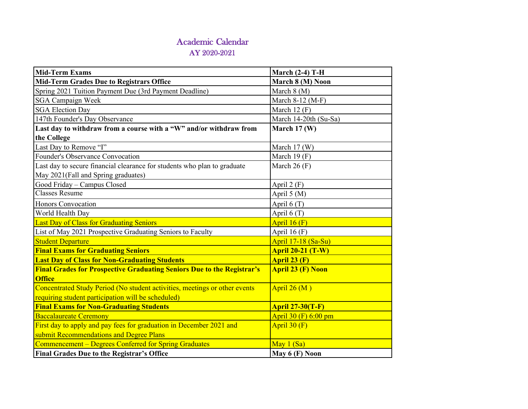| <b>Mid-Term Exams</b>                                                         | <b>March (2-4) T-H</b>   |
|-------------------------------------------------------------------------------|--------------------------|
| <b>Mid-Term Grades Due to Registrars Office</b>                               | March 8 (M) Noon         |
| Spring 2021 Tuition Payment Due (3rd Payment Deadline)                        | March $8(M)$             |
| <b>SGA Campaign Week</b>                                                      | March 8-12 (M-F)         |
| <b>SGA Election Day</b>                                                       | March 12 $(F)$           |
| 147th Founder's Day Observance                                                | March 14-20th (Su-Sa)    |
| Last day to withdraw from a course with a "W" and/or withdraw from            | March $17 \, (W)$        |
| the College                                                                   |                          |
| Last Day to Remove "I"                                                        | March $17(W)$            |
| Founder's Observance Convocation                                              | March 19 $(F)$           |
| Last day to secure financial clearance for students who plan to graduate      | March $26(F)$            |
| May 2021(Fall and Spring graduates)                                           |                          |
| Good Friday - Campus Closed                                                   | April $2(F)$             |
| <b>Classes Resume</b>                                                         | April 5 (M)              |
| Honors Convocation                                                            | April $6(T)$             |
| World Health Day                                                              | April $6(T)$             |
| Last Day of Class for Graduating Seniors                                      | April $16(F)$            |
| List of May 2021 Prospective Graduating Seniors to Faculty                    | April 16 $(F)$           |
| <b>Student Departure</b>                                                      | April 17-18 (Sa-Su)      |
| <b>Final Exams for Graduating Seniors</b>                                     | <b>April 20-21 (T-W)</b> |
| <b>Last Day of Class for Non-Graduating Students</b>                          | April 23 (F)             |
| <b>Final Grades for Prospective Graduating Seniors Due to the Registrar's</b> | <b>April 23 (F) Noon</b> |
| <b>Office</b>                                                                 |                          |
| Concentrated Study Period (No student activities, meetings or other events    | April $26(M)$            |
| requiring student participation will be scheduled)                            |                          |
| <b>Final Exams for Non-Graduating Students</b>                                | <b>April 27-30(T-F)</b>  |
| <b>Baccalaureate Ceremony</b>                                                 | April 30 (F) 6:00 pm     |
| First day to apply and pay fees for graduation in December 2021 and           | April $30(F)$            |
| submit Recommendations and Degree Plans                                       |                          |
| Commencement - Degrees Conferred for Spring Graduates                         | May $1(Sa)$              |
| <b>Final Grades Due to the Registrar's Office</b>                             | May $6(F)$ Noon          |